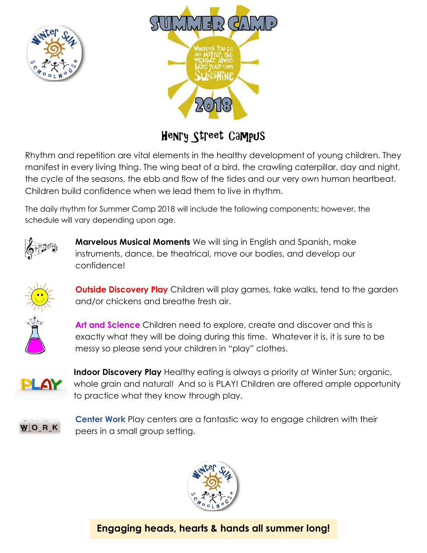



## Henry Street Campus

Rhythm and repetition are vital elements in the healthy development of young children. They manifest in every living thing. The wing beat of a bird, the crawling caterpillar, day and night, the cycle of the seasons, the ebb and flow of the tides and our very own human heartbeat. Children build confidence when we lead them to live in rhythm.

The daily rhythm for Summer Camp 2018 will include the following components; however, the schedule will vary depending upon age.



**Marvelous Musical Moments** We will sing in English and Spanish, make instruments, dance, be theatrical, move our bodies, and develop our confidence!



**Outside Discovery Play** Children will play games, take walks, tend to the garden and/or chickens and breathe fresh air.

**Art and Science** Children need to explore, create and discover and this is exactly what they will be doing during this time. Whatever it is, it is sure to be messy so please send your children in "play" clothes.



**Indoor Discovery Play** Healthy eating is always a priority at Winter Sun; organic, whole grain and natural! And so is PLAY! Children are offered ample opportunity to practice what they know through play.



**Center Work** Play centers are a fantastic way to engage children with their peers in a small group setting.



**Engaging heads, hearts & hands all summer long!**